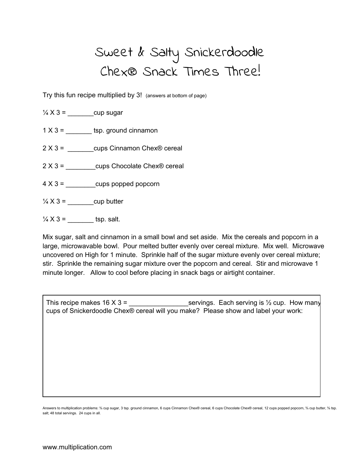## Sweet & Salty Snickerdoodle Chex® Snack Times Three!

Try this fun recipe multiplied by 3! (answers at bottom of page)

- $\frac{1}{4}$  X 3 = cup sugar
- $1 \times 3 =$  tsp. ground cinnamon
- 2 X 3 = \_\_\_\_\_\_\_cups Cinnamon Chex® cereal
- 2 X 3 = \_\_\_\_\_\_\_\_cups Chocolate Chex® cereal
- $4 \times 3 =$  \_\_\_\_\_\_\_\_\_\_\_\_cups popped popcorn
- $\frac{1}{4}$  X 3 = \_\_\_\_\_\_\_\_\_\_\_\_\_\_\_\_\_\_cup butter
- $\frac{1}{4}$  X 3 = tsp. salt.

Mix sugar, salt and cinnamon in a small bowl and set aside. Mix the cereals and popcorn in a large, microwavable bowl. Pour melted butter evenly over cereal mixture. Mix well. Microwave uncovered on High for 1 minute. Sprinkle half of the sugar mixture evenly over cereal mixture; stir. Sprinkle the remaining sugar mixture over the popcorn and cereal. Stir and microwave 1 minute longer. Allow to cool before placing in snack bags or airtight container.

This recipe makes 16 X 3 = \_\_\_\_\_\_\_\_\_\_\_\_\_\_\_\_servings. Each serving is ½ cup. How many cups of Snickerdoodle Chex® cereal will you make? Please show and label your work:

Answers to multiplication problems: ¾ cup sugar, 3 tsp. ground cinnamon, 6 cups Cinnamon Chex® cereal, 6 cups Chocolate Chex® cereal, 12 cups popped popcorn, ¾ cup butter, ¾ tsp. salt; 48 total servings. 24 cups in all.